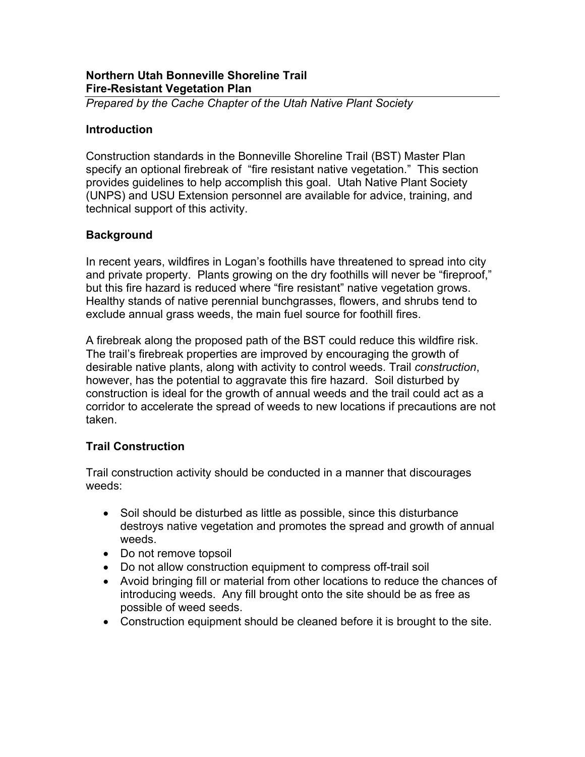### **Northern Utah Bonneville Shoreline Trail Fire-Resistant Vegetation Plan**

*Prepared by the Cache Chapter of the Utah Native Plant Society* 

#### **Introduction**

Construction standards in the Bonneville Shoreline Trail (BST) Master Plan specify an optional firebreak of "fire resistant native vegetation." This section provides guidelines to help accomplish this goal. Utah Native Plant Society (UNPS) and USU Extension personnel are available for advice, training, and technical support of this activity.

### **Background**

In recent years, wildfires in Logan's foothills have threatened to spread into city and private property. Plants growing on the dry foothills will never be "fireproof," but this fire hazard is reduced where "fire resistant" native vegetation grows. Healthy stands of native perennial bunchgrasses, flowers, and shrubs tend to exclude annual grass weeds, the main fuel source for foothill fires.

A firebreak along the proposed path of the BST could reduce this wildfire risk. The trail's firebreak properties are improved by encouraging the growth of desirable native plants, along with activity to control weeds. Trail *construction*, however, has the potential to aggravate this fire hazard. Soil disturbed by construction is ideal for the growth of annual weeds and the trail could act as a corridor to accelerate the spread of weeds to new locations if precautions are not taken.

# **Trail Construction**

Trail construction activity should be conducted in a manner that discourages weeds:

- Soil should be disturbed as little as possible, since this disturbance destroys native vegetation and promotes the spread and growth of annual weeds.
- Do not remove topsoil
- Do not allow construction equipment to compress off-trail soil
- Avoid bringing fill or material from other locations to reduce the chances of introducing weeds. Any fill brought onto the site should be as free as possible of weed seeds.
- Construction equipment should be cleaned before it is brought to the site.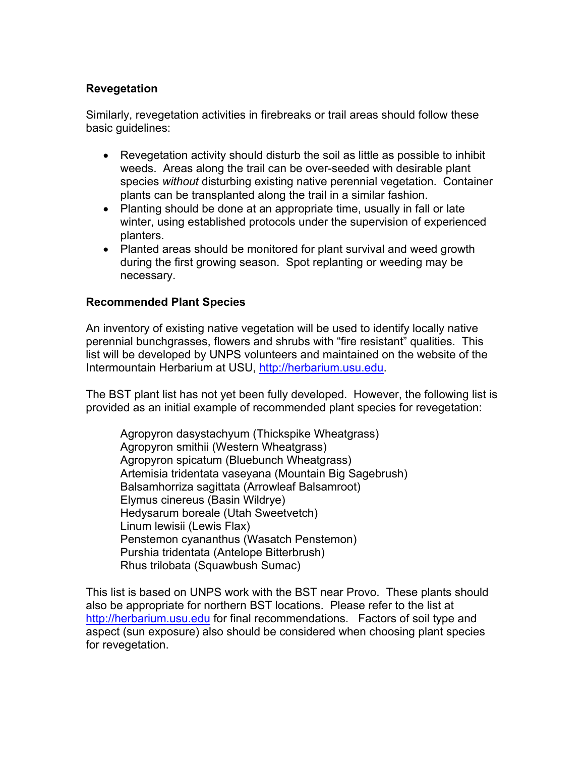## **Revegetation**

Similarly, revegetation activities in firebreaks or trail areas should follow these basic guidelines:

- Revegetation activity should disturb the soil as little as possible to inhibit weeds. Areas along the trail can be over-seeded with desirable plant species *without* disturbing existing native perennial vegetation. Container plants can be transplanted along the trail in a similar fashion.
- Planting should be done at an appropriate time, usually in fall or late winter, using established protocols under the supervision of experienced planters.
- Planted areas should be monitored for plant survival and weed growth during the first growing season. Spot replanting or weeding may be necessary.

### **Recommended Plant Species**

An inventory of existing native vegetation will be used to identify locally native perennial bunchgrasses, flowers and shrubs with "fire resistant" qualities. This list will be developed by UNPS volunteers and maintained on the website of the Intermountain Herbarium at USU, http://herbarium.usu.edu.

The BST plant list has not yet been fully developed. However, the following list is provided as an initial example of recommended plant species for revegetation:

Agropyron dasystachyum (Thickspike Wheatgrass) Agropyron smithii (Western Wheatgrass) Agropyron spicatum (Bluebunch Wheatgrass) Artemisia tridentata vaseyana (Mountain Big Sagebrush) Balsamhorriza sagittata (Arrowleaf Balsamroot) Elymus cinereus (Basin Wildrye) Hedysarum boreale (Utah Sweetvetch) Linum lewisii (Lewis Flax) Penstemon cyananthus (Wasatch Penstemon) Purshia tridentata (Antelope Bitterbrush) Rhus trilobata (Squawbush Sumac)

This list is based on UNPS work with the BST near Provo. These plants should also be appropriate for northern BST locations. Please refer to the list at http://herbarium.usu.edu for final recommendations. Factors of soil type and aspect (sun exposure) also should be considered when choosing plant species for revegetation.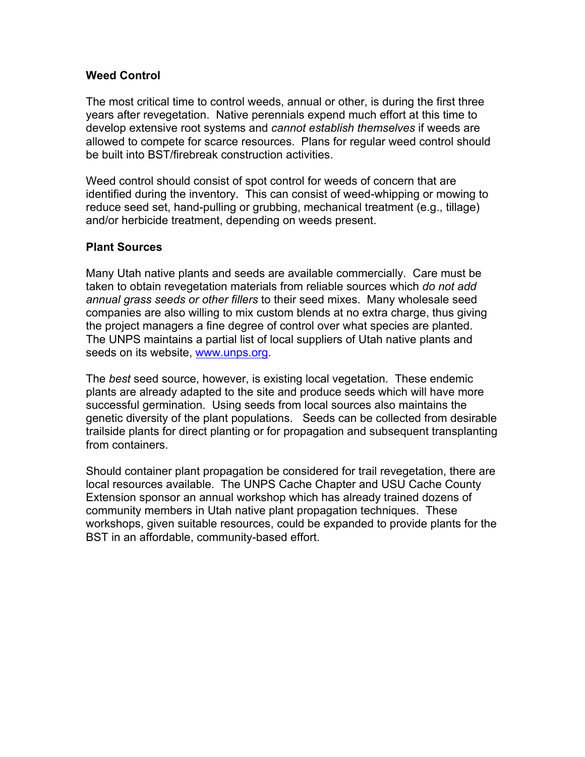### **Weed Control**

The most critical time to control weeds, annual or other, is during the first three years after revegetation. Native perennials expend much effort at this time to develop extensive root systems and *cannot establish themselves* if weeds are allowed to compete for scarce resources. Plans for regular weed control should be built into BST/firebreak construction activities.

Weed control should consist of spot control for weeds of concern that are identified during the inventory. This can consist of weed-whipping or mowing to reduce seed set, hand-pulling or grubbing, mechanical treatment (e.g., tillage) and/or herbicide treatment, depending on weeds present.

#### **Plant Sources**

Many Utah native plants and seeds are available commercially. Care must be taken to obtain revegetation materials from reliable sources which *do not add annual grass seeds or other fillers* to their seed mixes. Many wholesale seed companies are also willing to mix custom blends at no extra charge, thus giving the project managers a fine degree of control over what species are planted. The UNPS maintains a partial list of local suppliers of Utah native plants and seeds on its website, www.unps.org.

The *best* seed source, however, is existing local vegetation. These endemic plants are already adapted to the site and produce seeds which will have more successful germination. Using seeds from local sources also maintains the genetic diversity of the plant populations. Seeds can be collected from desirable trailside plants for direct planting or for propagation and subsequent transplanting from containers.

Should container plant propagation be considered for trail revegetation, there are local resources available. The UNPS Cache Chapter and USU Cache County Extension sponsor an annual workshop which has already trained dozens of community members in Utah native plant propagation techniques. These workshops, given suitable resources, could be expanded to provide plants for the BST in an affordable, community-based effort.